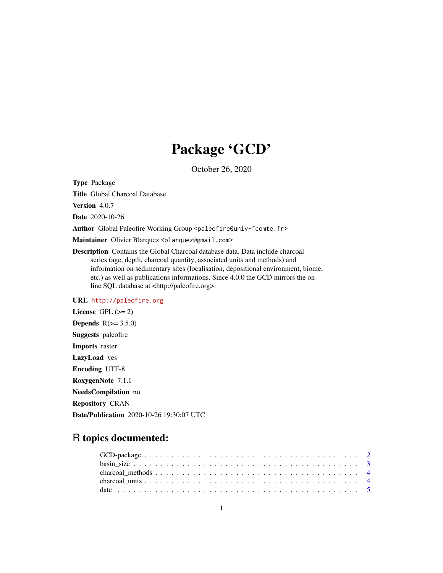# Package 'GCD'

October 26, 2020

Type Package

Title Global Charcoal Database

Version 4.0.7

Date 2020-10-26

Author Global Paleofire Working Group <paleofire@univ-fcomte.fr>

Maintainer Olivier Blarquez <blarquez@gmail.com>

Description Contains the Global Charcoal database data. Data include charcoal series (age, depth, charcoal quantity, associated units and methods) and information on sedimentary sites (localisation, depositional environment, biome, etc.) as well as publications informations. Since 4.0.0 the GCD mirrors the online SQL database at <http://paleofire.org>.

### URL <http://paleofire.org>

License GPL  $(>= 2)$ Depends  $R(>= 3.5.0)$ Suggests paleofire Imports raster LazyLoad yes Encoding UTF-8 RoxygenNote 7.1.1 NeedsCompilation no Repository CRAN Date/Publication 2020-10-26 19:30:07 UTC

## R topics documented: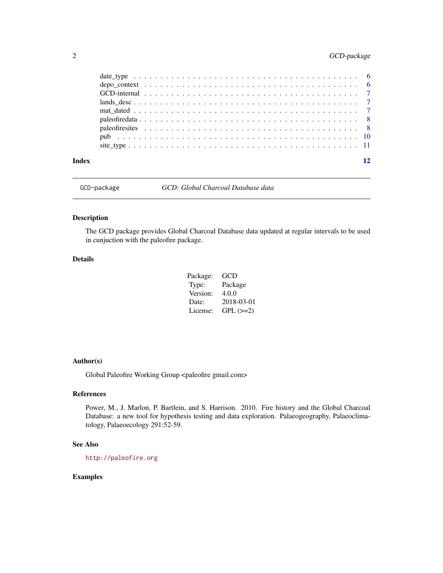### <span id="page-1-0"></span>2 GCD-package

| Index |                                                                                                          |  |  |  |  |  |  |  |  |  |  |  |  |  |  |  |  |  |  |  |
|-------|----------------------------------------------------------------------------------------------------------|--|--|--|--|--|--|--|--|--|--|--|--|--|--|--|--|--|--|--|
|       |                                                                                                          |  |  |  |  |  |  |  |  |  |  |  |  |  |  |  |  |  |  |  |
|       |                                                                                                          |  |  |  |  |  |  |  |  |  |  |  |  |  |  |  |  |  |  |  |
|       |                                                                                                          |  |  |  |  |  |  |  |  |  |  |  |  |  |  |  |  |  |  |  |
|       |                                                                                                          |  |  |  |  |  |  |  |  |  |  |  |  |  |  |  |  |  |  |  |
|       |                                                                                                          |  |  |  |  |  |  |  |  |  |  |  |  |  |  |  |  |  |  |  |
|       | $lands\_desc \ldots \ldots \ldots \ldots \ldots \ldots \ldots \ldots \ldots \ldots \ldots \ldots \ldots$ |  |  |  |  |  |  |  |  |  |  |  |  |  |  |  |  |  |  |  |
|       |                                                                                                          |  |  |  |  |  |  |  |  |  |  |  |  |  |  |  |  |  |  |  |
|       |                                                                                                          |  |  |  |  |  |  |  |  |  |  |  |  |  |  |  |  |  |  |  |
|       |                                                                                                          |  |  |  |  |  |  |  |  |  |  |  |  |  |  |  |  |  |  |  |

GCD-package *GCD: Global Charcoal Database data*

#### Description

The GCD package provides Global Charcoal Database data updated at regular intervals to be used in cunjuction with the paleofire package.

#### Details

| Package: | GCD        |
|----------|------------|
| Type:    | Package    |
| Version: | 4.0.0      |
| Date:    | 2018-03-01 |
| License: | $GPL (=2)$ |

#### Author(s)

Global Paleofire Working Group <paleofire gmail.com>

#### References

Power, M., J. Marlon, P. Bartlein, and S. Harrison. 2010. Fire history and the Global Charcoal Database: a new tool for hypothesis testing and data exploration. Palaeogeography, Palaeoclimatology, Palaeoecology 291:52-59.

#### See Also

<http://paleofire.org>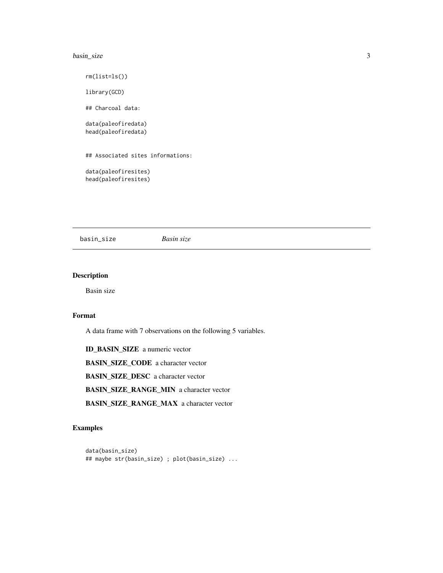#### <span id="page-2-0"></span>basin\_size 3

rm(list=ls()) library(GCD) ## Charcoal data: data(paleofiredata) head(paleofiredata) ## Associated sites informations: data(paleofiresites) head(paleofiresites)

basin\_size *Basin size*

#### Description

Basin size

#### Format

A data frame with 7 observations on the following 5 variables.

ID\_BASIN\_SIZE a numeric vector BASIN\_SIZE\_CODE a character vector BASIN\_SIZE\_DESC a character vector BASIN\_SIZE\_RANGE\_MIN a character vector BASIN\_SIZE\_RANGE\_MAX a character vector

```
data(basin_size)
## maybe str(basin_size) ; plot(basin_size) ...
```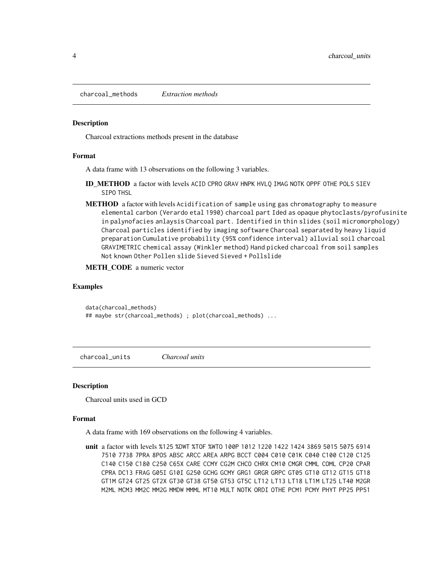<span id="page-3-0"></span>charcoal\_methods *Extraction methods*

#### Description

Charcoal extractions methods present in the database

#### Format

A data frame with 13 observations on the following 3 variables.

- ID METHOD a factor with levels ACID CPRO GRAV HNPK HVLQ IMAG NOTK OPPF OTHE POLS SIEV SIPO THSL
- METHOD a factor with levels Acidification of sample using gas chromatography to measure elemental carbon (Verardo etal 1990) charcoal part Ided as opaque phytoclasts/pyrofusinite in palynofacies anlaysis Charcoal part. Identified in thin slides (soil micromorphology) Charcoal particles identified by imaging software Charcoal separated by heavy liquid preparation Cumulative probability (95% confidence interval) alluvial soil charcoal GRAVIMETRIC chemical assay (Winkler method) Hand picked charcoal from soil samples Not known Other Pollen slide Sieved Sieved + Pollslide
- METH\_CODE a numeric vector

#### Examples

```
data(charcoal_methods)
## maybe str(charcoal_methods) ; plot(charcoal_methods) ...
```
charcoal\_units *Charcoal units*

#### **Description**

Charcoal units used in GCD

#### Format

A data frame with 169 observations on the following 4 variables.

unit a factor with levels %125 %DWT %TOF %WTO 100P 1012 1220 1422 1424 3869 5015 5075 6914 7510 7738 7PRA 8POS ABSC ARCC AREA ARPG BCCT C004 C010 C01K C040 C100 C120 C125 C140 C150 C180 C250 C65X CARE CCMY CG2M CHCO CHRX CM10 CMGR CMML COML CP20 CPAR CPRA DC13 FRAG G05I G10I G250 GCHG GCMY GRG1 GRGR GRPC GT05 GT10 GT12 GT15 GT18 GT1M GT24 GT25 GT2X GT30 GT38 GT50 GT53 GT5C LT12 LT13 LT18 LT1M LT25 LT40 M2GR M2ML MCM3 MM2C MM2G MMDW MMML MT10 MULT NOTK ORDI OTHE PCM1 PCMY PHYT PP25 PP51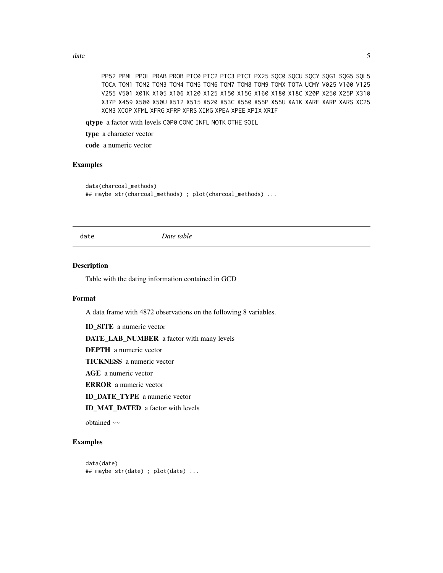<span id="page-4-0"></span>date 5 and 5 and 5 and 5 and 5 and 5 and 5 and 5 and 5 and 5 and 5 and 5 and 5 and 5 and 5 and 5 and 5 and 5 and 5 and 5 and 5 and 5 and 5 and 5 and 5 and 5 and 5 and 5 and 5 and 5 and 5 and 5 and 5 and 5 and 5 and 5 and 5

PP52 PPML PPOL PRAB PROB PTC0 PTC2 PTC3 PTCT PX25 SQC0 SQCU SQCY SQG1 SQG5 SQL5 TOCA TOM1 TOM2 TOM3 TOM4 TOM5 TOM6 TOM7 TOM8 TOM9 TOMX TOTA UCMY V025 V100 V125 V255 V501 X01K X105 X106 X120 X125 X150 X15G X160 X180 X18C X20P X250 X25P X310 X37P X459 X500 X50U X512 X515 X520 X53C X550 X55P X55U XA1K XARE XARP XARS XC25 XCM3 XCOP XFML XFRG XFRP XFRS XIMG XPEA XPEE XPIX XRIF

qtype a factor with levels C0P0 CONC INFL NOTK OTHE SOIL

type a character vector

code a numeric vector

#### Examples

```
data(charcoal_methods)
## maybe str(charcoal_methods) ; plot(charcoal_methods) ...
```
date *Date table*

#### Description

Table with the dating information contained in GCD

#### Format

A data frame with 4872 observations on the following 8 variables.

ID\_SITE a numeric vector

DATE\_LAB\_NUMBER a factor with many levels

DEPTH a numeric vector

TICKNESS a numeric vector

AGE a numeric vector

ERROR a numeric vector

ID\_DATE\_TYPE a numeric vector

ID\_MAT\_DATED a factor with levels

obtained ~~

```
data(date)
## maybe str(date) ; plot(date) ...
```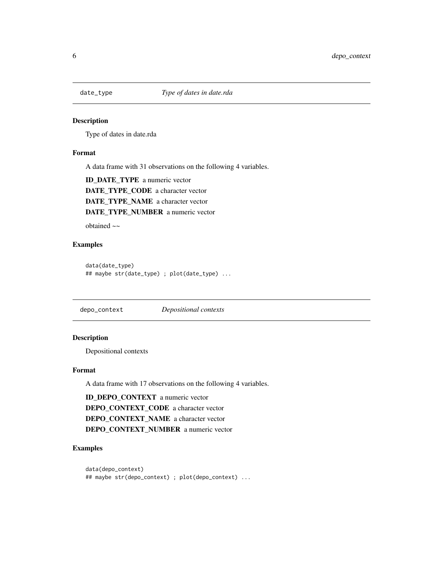<span id="page-5-0"></span>

#### Description

Type of dates in date.rda

#### Format

A data frame with 31 observations on the following 4 variables.

ID\_DATE\_TYPE a numeric vector DATE\_TYPE\_CODE a character vector DATE\_TYPE\_NAME a character vector DATE\_TYPE\_NUMBER a numeric vector

obtained ~~

#### Examples

```
data(date_type)
## maybe str(date_type) ; plot(date_type) ...
```
depo\_context *Depositional contexts*

#### Description

Depositional contexts

#### Format

A data frame with 17 observations on the following 4 variables.

ID\_DEPO\_CONTEXT a numeric vector DEPO\_CONTEXT\_CODE a character vector DEPO\_CONTEXT\_NAME a character vector DEPO\_CONTEXT\_NUMBER a numeric vector

```
data(depo_context)
## maybe str(depo_context) ; plot(depo_context) ...
```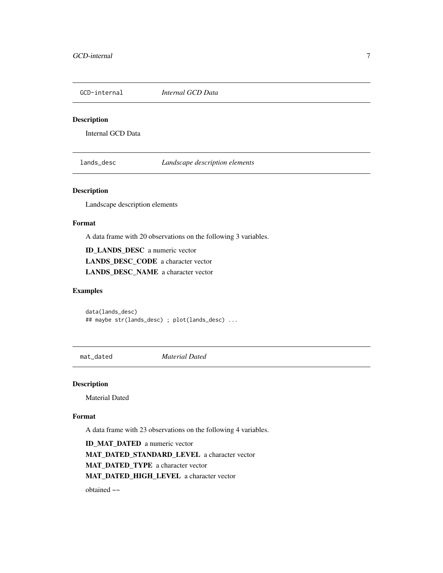<span id="page-6-0"></span>GCD-internal *Internal GCD Data*

### Description

Internal GCD Data

lands\_desc *Landscape description elements*

#### Description

Landscape description elements

#### Format

A data frame with 20 observations on the following 3 variables.

ID\_LANDS\_DESC a numeric vector LANDS\_DESC\_CODE a character vector LANDS\_DESC\_NAME a character vector

#### Examples

data(lands\_desc) ## maybe str(lands\_desc) ; plot(lands\_desc) ...

mat\_dated *Material Dated*

#### Description

Material Dated

#### Format

A data frame with 23 observations on the following 4 variables.

ID\_MAT\_DATED a numeric vector MAT\_DATED\_STANDARD\_LEVEL a character vector MAT\_DATED\_TYPE a character vector MAT\_DATED\_HIGH\_LEVEL a character vector

obtained ~~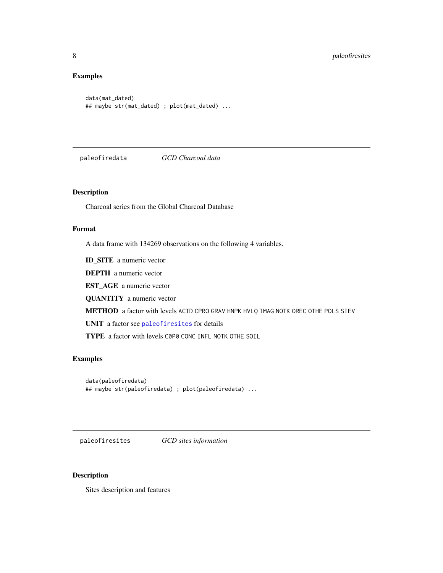#### <span id="page-7-0"></span>Examples

```
data(mat_dated)
## maybe str(mat_dated) ; plot(mat_dated) ...
```
paleofiredata *GCD Charcoal data*

#### Description

Charcoal series from the Global Charcoal Database

#### Format

A data frame with 134269 observations on the following 4 variables.

ID\_SITE a numeric vector

DEPTH a numeric vector

EST\_AGE a numeric vector

QUANTITY a numeric vector

METHOD a factor with levels ACID CPRO GRAV HNPK HVLQ IMAG NOTK OREC OTHE POLS SIEV

UNIT a factor see [paleofiresites](#page-7-1) for details

TYPE a factor with levels C0P0 CONC INFL NOTK OTHE SOIL

#### Examples

```
data(paleofiredata)
## maybe str(paleofiredata) ; plot(paleofiredata) ...
```
<span id="page-7-1"></span>paleofiresites *GCD sites information*

#### Description

Sites description and features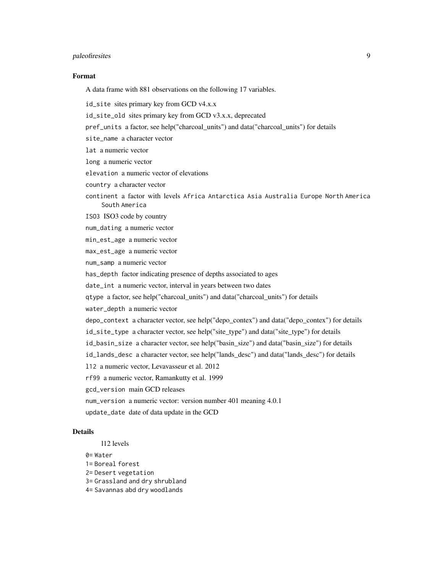#### paleofiresites 9

#### Format

A data frame with 881 observations on the following 17 variables.

- id\_site sites primary key from GCD v4.x.x
- id\_site\_old sites primary key from GCD v3.x.x, deprecated
- pref\_units a factor, see help("charcoal\_units") and data("charcoal\_units") for details
- site\_name a character vector
- lat a numeric vector
- long a numeric vector
- elevation a numeric vector of elevations
- country a character vector
- continent a factor with levels Africa Antarctica Asia Australia Europe North America South America
- ISO3 ISO3 code by country
- num\_dating a numeric vector
- min\_est\_age a numeric vector
- max\_est\_age a numeric vector
- num\_samp a numeric vector
- has\_depth factor indicating presence of depths associated to ages
- date\_int a numeric vector, interval in years between two dates
- qtype a factor, see help("charcoal\_units") and data("charcoal\_units") for details
- water\_depth a numeric vector
- depo\_context a character vector, see help("depo\_contex") and data("depo\_contex") for details
- id\_site\_type a character vector, see help("site\_type") and data("site\_type") for details
- id\_basin\_size a character vector, see help("basin\_size") and data("basin\_size") for details
- id\_lands\_desc a character vector, see help("lands\_desc") and data("lands\_desc") for details
- l12 a numeric vector, Levavasseur et al. 2012
- rf99 a numeric vector, Ramankutty et al. 1999
- gcd\_version main GCD releases
- num\_version a numeric vector: version number 401 meaning 4.0.1
	-
- update\_date date of data update in the GCD

#### Details

- l12 levels
- 0= Water
- 1= Boreal forest
- 2= Desert vegetation
- 3= Grassland and dry shrubland
- 4= Savannas abd dry woodlands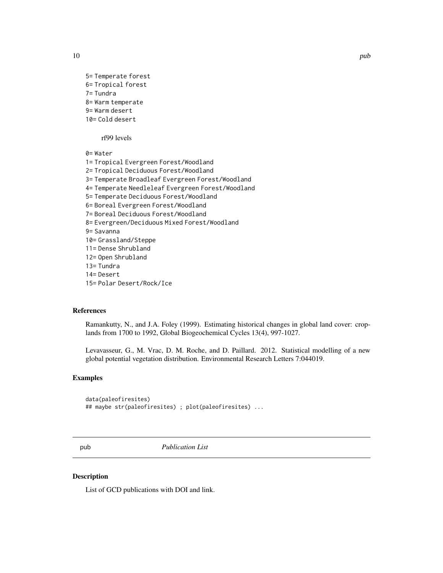<span id="page-9-0"></span>

```
5= Temperate forest
6= Tropical forest
7= Tundra
8= Warm temperate
9= Warm desert
10= Cold desert
```
rf99 levels

0= Water

1= Tropical Evergreen Forest/Woodland 2= Tropical Deciduous Forest/Woodland 3= Temperate Broadleaf Evergreen Forest/Woodland 4= Temperate Needleleaf Evergreen Forest/Woodland 5= Temperate Deciduous Forest/Woodland 6= Boreal Evergreen Forest/Woodland 7= Boreal Deciduous Forest/Woodland 8= Evergreen/Deciduous Mixed Forest/Woodland 9= Savanna 10= Grassland/Steppe 11= Dense Shrubland 12= Open Shrubland 13= Tundra 14= Desert 15= Polar Desert/Rock/Ice

#### References

Ramankutty, N., and J.A. Foley (1999). Estimating historical changes in global land cover: croplands from 1700 to 1992, Global Biogeochemical Cycles 13(4), 997-1027.

Levavasseur, G., M. Vrac, D. M. Roche, and D. Paillard. 2012. Statistical modelling of a new global potential vegetation distribution. Environmental Research Letters 7:044019.

#### Examples

```
data(paleofiresites)
## maybe str(paleofiresites) ; plot(paleofiresites) ...
```
pub *Publication List*

#### Description

List of GCD publications with DOI and link.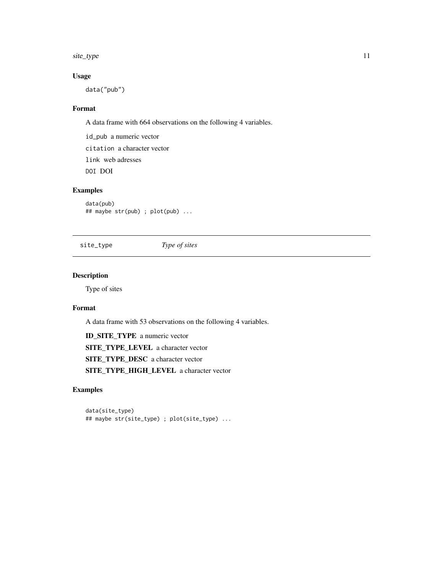<span id="page-10-0"></span>site\_type 11

#### Usage

data("pub")

#### Format

A data frame with 664 observations on the following 4 variables.

id\_pub a numeric vector citation a character vector link web adresses DOI DOI

#### Examples

data(pub) ## maybe str(pub) ; plot(pub) ...

site\_type *Type of sites*

#### Description

Type of sites

#### Format

A data frame with 53 observations on the following 4 variables.

ID\_SITE\_TYPE a numeric vector SITE\_TYPE\_LEVEL a character vector SITE\_TYPE\_DESC a character vector SITE\_TYPE\_HIGH\_LEVEL a character vector

#### Examples

data(site\_type) ## maybe str(site\_type) ; plot(site\_type) ...